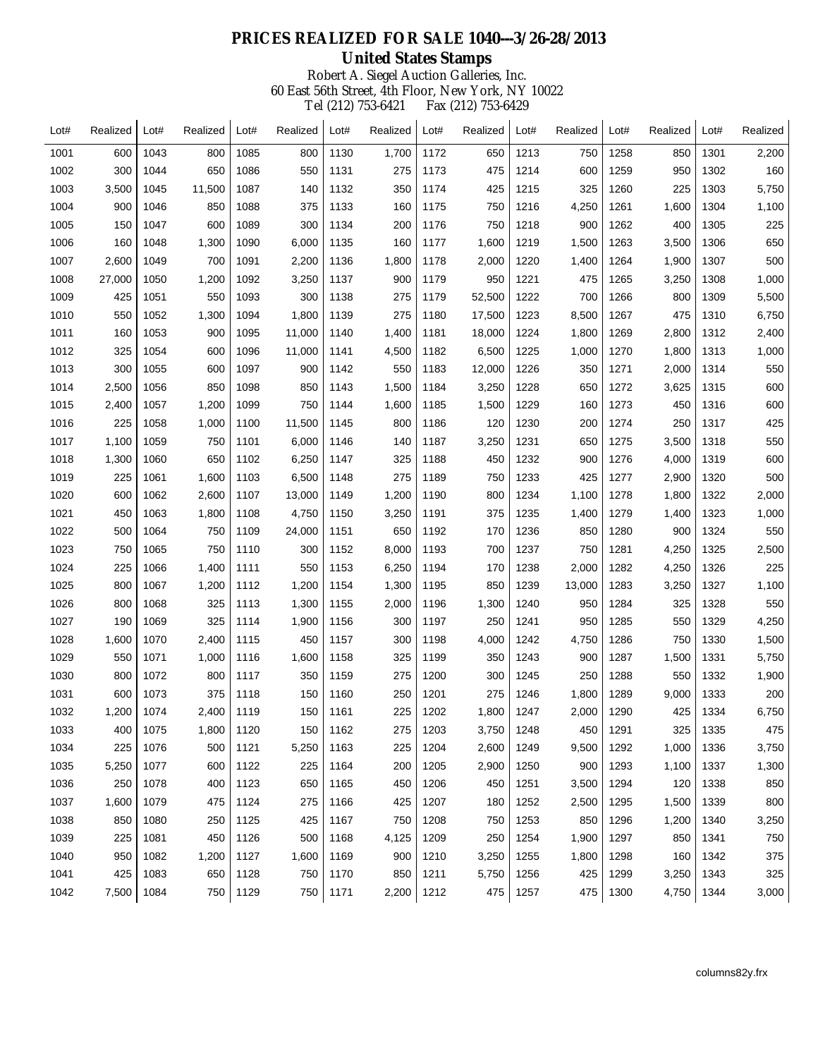| Lot# | Realized | Lot# | Realized | Lot# | Realized | Lot# | Realized | Lot# | Realized | Lot# | Realized | Lot# | Realized | Lot# | Realized |
|------|----------|------|----------|------|----------|------|----------|------|----------|------|----------|------|----------|------|----------|
| 1001 | 600      | 1043 | 800      | 1085 | 800      | 1130 | 1,700    | 1172 | 650      | 1213 | 750      | 1258 | 850      | 1301 | 2,200    |
| 1002 | 300      | 1044 | 650      | 1086 | 550      | 1131 | 275      | 1173 | 475      | 1214 | 600      | 1259 | 950      | 1302 | 160      |
| 1003 | 3,500    | 1045 | 11,500   | 1087 | 140      | 1132 | 350      | 1174 | 425      | 1215 | 325      | 1260 | 225      | 1303 | 5,750    |
| 1004 | 900      | 1046 | 850      | 1088 | 375      | 1133 | 160      | 1175 | 750      | 1216 | 4,250    | 1261 | 1,600    | 1304 | 1,100    |
| 1005 | 150      | 1047 | 600      | 1089 | 300      | 1134 | 200      | 1176 | 750      | 1218 | 900      | 1262 | 400      | 1305 | 225      |
| 1006 | 160      | 1048 | 1,300    | 1090 | 6,000    | 1135 | 160      | 1177 | 1,600    | 1219 | 1,500    | 1263 | 3,500    | 1306 | 650      |
| 1007 | 2,600    | 1049 | 700      | 1091 | 2,200    | 1136 | 1,800    | 1178 | 2,000    | 1220 | 1,400    | 1264 | 1,900    | 1307 | 500      |
| 1008 | 27,000   | 1050 | 1,200    | 1092 | 3,250    | 1137 | 900      | 1179 | 950      | 1221 | 475      | 1265 | 3,250    | 1308 | 1,000    |
| 1009 | 425      | 1051 | 550      | 1093 | 300      | 1138 | 275      | 1179 | 52,500   | 1222 | 700      | 1266 | 800      | 1309 | 5,500    |
| 1010 | 550      | 1052 | 1,300    | 1094 | 1,800    | 1139 | 275      | 1180 | 17,500   | 1223 | 8,500    | 1267 | 475      | 1310 | 6,750    |
| 1011 | 160      | 1053 | 900      | 1095 | 11,000   | 1140 | 1,400    | 1181 | 18,000   | 1224 | 1,800    | 1269 | 2,800    | 1312 | 2,400    |
| 1012 | 325      | 1054 | 600      | 1096 | 11,000   | 1141 | 4,500    | 1182 | 6,500    | 1225 | 1,000    | 1270 | 1,800    | 1313 | 1,000    |
| 1013 | 300      | 1055 | 600      | 1097 | 900      | 1142 | 550      | 1183 | 12,000   | 1226 | 350      | 1271 | 2,000    | 1314 | 550      |
| 1014 | 2,500    | 1056 | 850      | 1098 | 850      | 1143 | 1,500    | 1184 | 3,250    | 1228 | 650      | 1272 | 3,625    | 1315 | 600      |
| 1015 | 2,400    | 1057 | 1,200    | 1099 | 750      | 1144 | 1,600    | 1185 | 1,500    | 1229 | 160      | 1273 | 450      | 1316 | 600      |
| 1016 | 225      | 1058 | 1,000    | 1100 | 11,500   | 1145 | 800      | 1186 | 120      | 1230 | 200      | 1274 | 250      | 1317 | 425      |
| 1017 | 1,100    | 1059 | 750      | 1101 | 6,000    | 1146 | 140      | 1187 | 3,250    | 1231 | 650      | 1275 | 3,500    | 1318 | 550      |
| 1018 | 1,300    | 1060 | 650      | 1102 | 6,250    | 1147 | 325      | 1188 | 450      | 1232 | 900      | 1276 | 4,000    | 1319 | 600      |
| 1019 | 225      | 1061 | 1,600    | 1103 | 6,500    | 1148 | 275      | 1189 | 750      | 1233 | 425      | 1277 | 2,900    | 1320 | 500      |
| 1020 | 600      | 1062 | 2,600    | 1107 | 13,000   | 1149 | 1,200    | 1190 | 800      | 1234 | 1,100    | 1278 | 1,800    | 1322 | 2,000    |
| 1021 | 450      | 1063 | 1,800    | 1108 | 4,750    | 1150 | 3,250    | 1191 | 375      | 1235 | 1,400    | 1279 | 1,400    | 1323 | 1,000    |
| 1022 | 500      | 1064 | 750      | 1109 | 24,000   | 1151 | 650      | 1192 | 170      | 1236 | 850      | 1280 | 900      | 1324 | 550      |
| 1023 | 750      | 1065 | 750      | 1110 | 300      | 1152 | 8,000    | 1193 | 700      | 1237 | 750      | 1281 | 4,250    | 1325 | 2,500    |
| 1024 | 225      | 1066 | 1,400    | 1111 | 550      | 1153 | 6,250    | 1194 | 170      | 1238 | 2,000    | 1282 | 4,250    | 1326 | 225      |
| 1025 | 800      | 1067 | 1,200    | 1112 | 1,200    | 1154 | 1,300    | 1195 | 850      | 1239 | 13,000   | 1283 | 3,250    | 1327 | 1,100    |
| 1026 | 800      | 1068 | 325      | 1113 | 1,300    | 1155 | 2,000    | 1196 | 1,300    | 1240 | 950      | 1284 | 325      | 1328 | 550      |
| 1027 | 190      | 1069 | 325      | 1114 | 1,900    | 1156 | 300      | 1197 | 250      | 1241 | 950      | 1285 | 550      | 1329 | 4,250    |
| 1028 | 1,600    | 1070 | 2,400    | 1115 | 450      | 1157 | 300      | 1198 | 4,000    | 1242 | 4,750    | 1286 | 750      | 1330 | 1,500    |
| 1029 | 550      | 1071 | 1,000    | 1116 | 1,600    | 1158 | 325      | 1199 | 350      | 1243 | 900      | 1287 | 1,500    | 1331 | 5,750    |
| 1030 | 800      | 1072 | 800      | 1117 | 350      | 1159 | 275      | 1200 | 300      | 1245 | 250      | 1288 | 550      | 1332 | 1,900    |
| 1031 | 600      | 1073 | 375      | 1118 | 150      | 1160 | 250      | 1201 | 275      | 1246 | 1,800    | 1289 | 9,000    | 1333 | 200      |
| 1032 | 1,200    | 1074 | 2,400    | 1119 | 150      | 1161 | 225      | 1202 | 1,800    | 1247 | 2,000    | 1290 | 425      | 1334 | 6,750    |
| 1033 | 400      | 1075 | 1,800    | 1120 | 150      | 1162 | 275      | 1203 | 3,750    | 1248 | 450      | 1291 | 325      | 1335 | 475      |
| 1034 | 225      | 1076 | 500      | 1121 | 5,250    | 1163 | 225      | 1204 | 2,600    | 1249 | 9,500    | 1292 | 1,000    | 1336 | 3,750    |
| 1035 | 5,250    | 1077 | 600      | 1122 | 225      | 1164 | 200      | 1205 | 2,900    | 1250 | 900      | 1293 | 1,100    | 1337 | 1,300    |
| 1036 | 250      | 1078 | 400      | 1123 | 650      | 1165 | 450      | 1206 | 450      | 1251 | 3,500    | 1294 | 120      | 1338 | 850      |
| 1037 | 1,600    | 1079 | 475      | 1124 | 275      | 1166 | 425      | 1207 | 180      | 1252 | 2,500    | 1295 | 1,500    | 1339 | 800      |
| 1038 | 850      | 1080 | 250      | 1125 | 425      | 1167 | 750      | 1208 | 750      | 1253 | 850      | 1296 | 1,200    | 1340 | 3,250    |
| 1039 | 225      | 1081 | 450      | 1126 | 500      | 1168 | 4,125    | 1209 | 250      | 1254 | 1,900    | 1297 | 850      | 1341 | 750      |
| 1040 | 950      | 1082 | 1,200    | 1127 | 1,600    | 1169 | 900      | 1210 | 3,250    | 1255 | 1,800    | 1298 | 160      | 1342 | 375      |
| 1041 | 425      | 1083 | 650      | 1128 | 750      | 1170 | 850      | 1211 | 5,750    | 1256 | 425      | 1299 | 3,250    | 1343 | 325      |
| 1042 | 7,500    | 1084 | 750      | 1129 | 750      | 1171 | 2,200    | 1212 | 475      | 1257 | 475      | 1300 | 4,750    | 1344 | 3,000    |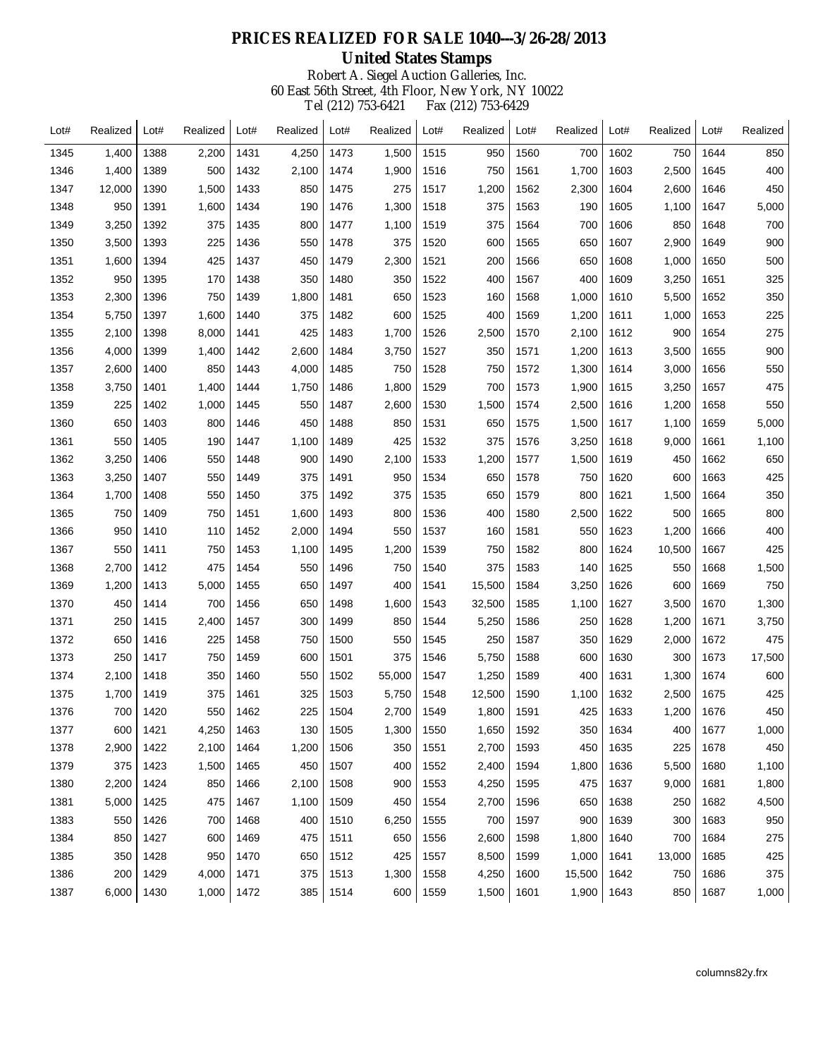| Lot# | Realized | Lot# | Realized | Lot# | Realized | Lot# | Realized | Lot# | Realized | Lot# | Realized | Lot# | Realized | Lot# | Realized |
|------|----------|------|----------|------|----------|------|----------|------|----------|------|----------|------|----------|------|----------|
| 1345 | 1,400    | 1388 | 2,200    | 1431 | 4,250    | 1473 | 1,500    | 1515 | 950      | 1560 | 700      | 1602 | 750      | 1644 | 850      |
| 1346 | 1,400    | 1389 | 500      | 1432 | 2,100    | 1474 | 1,900    | 1516 | 750      | 1561 | 1,700    | 1603 | 2,500    | 1645 | 400      |
| 1347 | 12,000   | 1390 | 1,500    | 1433 | 850      | 1475 | 275      | 1517 | 1,200    | 1562 | 2,300    | 1604 | 2,600    | 1646 | 450      |
| 1348 | 950      | 1391 | 1,600    | 1434 | 190      | 1476 | 1,300    | 1518 | 375      | 1563 | 190      | 1605 | 1,100    | 1647 | 5,000    |
| 1349 | 3,250    | 1392 | 375      | 1435 | 800      | 1477 | 1,100    | 1519 | 375      | 1564 | 700      | 1606 | 850      | 1648 | 700      |
| 1350 | 3,500    | 1393 | 225      | 1436 | 550      | 1478 | 375      | 1520 | 600      | 1565 | 650      | 1607 | 2,900    | 1649 | 900      |
| 1351 | 1,600    | 1394 | 425      | 1437 | 450      | 1479 | 2,300    | 1521 | 200      | 1566 | 650      | 1608 | 1,000    | 1650 | 500      |
| 1352 | 950      | 1395 | 170      | 1438 | 350      | 1480 | 350      | 1522 | 400      | 1567 | 400      | 1609 | 3,250    | 1651 | 325      |
| 1353 | 2,300    | 1396 | 750      | 1439 | 1,800    | 1481 | 650      | 1523 | 160      | 1568 | 1,000    | 1610 | 5,500    | 1652 | 350      |
| 1354 | 5,750    | 1397 | 1,600    | 1440 | 375      | 1482 | 600      | 1525 | 400      | 1569 | 1,200    | 1611 | 1,000    | 1653 | 225      |
| 1355 | 2,100    | 1398 | 8,000    | 1441 | 425      | 1483 | 1,700    | 1526 | 2,500    | 1570 | 2,100    | 1612 | 900      | 1654 | 275      |
| 1356 | 4,000    | 1399 | 1,400    | 1442 | 2,600    | 1484 | 3,750    | 1527 | 350      | 1571 | 1,200    | 1613 | 3,500    | 1655 | 900      |
| 1357 | 2,600    | 1400 | 850      | 1443 | 4,000    | 1485 | 750      | 1528 | 750      | 1572 | 1,300    | 1614 | 3,000    | 1656 | 550      |
| 1358 | 3,750    | 1401 | 1,400    | 1444 | 1,750    | 1486 | 1,800    | 1529 | 700      | 1573 | 1,900    | 1615 | 3,250    | 1657 | 475      |
| 1359 | 225      | 1402 | 1,000    | 1445 | 550      | 1487 | 2,600    | 1530 | 1,500    | 1574 | 2,500    | 1616 | 1,200    | 1658 | 550      |
| 1360 | 650      | 1403 | 800      | 1446 | 450      | 1488 | 850      | 1531 | 650      | 1575 | 1,500    | 1617 | 1,100    | 1659 | 5,000    |
| 1361 | 550      | 1405 | 190      | 1447 | 1,100    | 1489 | 425      | 1532 | 375      | 1576 | 3,250    | 1618 | 9,000    | 1661 | 1,100    |
| 1362 | 3,250    | 1406 | 550      | 1448 | 900      | 1490 | 2,100    | 1533 | 1,200    | 1577 | 1,500    | 1619 | 450      | 1662 | 650      |
| 1363 | 3,250    | 1407 | 550      | 1449 | 375      | 1491 | 950      | 1534 | 650      | 1578 | 750      | 1620 | 600      | 1663 | 425      |
| 1364 | 1,700    | 1408 | 550      | 1450 | 375      | 1492 | 375      | 1535 | 650      | 1579 | 800      | 1621 | 1,500    | 1664 | 350      |
| 1365 | 750      | 1409 | 750      | 1451 | 1,600    | 1493 | 800      | 1536 | 400      | 1580 | 2,500    | 1622 | 500      | 1665 | 800      |
| 1366 | 950      | 1410 | 110      | 1452 | 2,000    | 1494 | 550      | 1537 | 160      | 1581 | 550      | 1623 | 1,200    | 1666 | 400      |
| 1367 | 550      | 1411 | 750      | 1453 | 1,100    | 1495 | 1,200    | 1539 | 750      | 1582 | 800      | 1624 | 10,500   | 1667 | 425      |
| 1368 | 2,700    | 1412 | 475      | 1454 | 550      | 1496 | 750      | 1540 | 375      | 1583 | 140      | 1625 | 550      | 1668 | 1,500    |
| 1369 | 1,200    | 1413 | 5,000    | 1455 | 650      | 1497 | 400      | 1541 | 15,500   | 1584 | 3,250    | 1626 | 600      | 1669 | 750      |
| 1370 | 450      | 1414 | 700      | 1456 | 650      | 1498 | 1,600    | 1543 | 32,500   | 1585 | 1,100    | 1627 | 3,500    | 1670 | 1,300    |
| 1371 | 250      | 1415 | 2,400    | 1457 | 300      | 1499 | 850      | 1544 | 5,250    | 1586 | 250      | 1628 | 1,200    | 1671 | 3,750    |
| 1372 | 650      | 1416 | 225      | 1458 | 750      | 1500 | 550      | 1545 | 250      | 1587 | 350      | 1629 | 2,000    | 1672 | 475      |
| 1373 | 250      | 1417 | 750      | 1459 | 600      | 1501 | 375      | 1546 | 5,750    | 1588 | 600      | 1630 | 300      | 1673 | 17,500   |
| 1374 | 2,100    | 1418 | 350      | 1460 | 550      | 1502 | 55,000   | 1547 | 1,250    | 1589 | 400      | 1631 | 1,300    | 1674 | 600      |
| 1375 | 1,700    | 1419 | 375      | 1461 | 325      | 1503 | 5,750    | 1548 | 12,500   | 1590 | 1,100    | 1632 | 2,500    | 1675 | 425      |
| 1376 | 700      | 1420 | 550      | 1462 | 225      | 1504 | 2,700    | 1549 | 1,800    | 1591 | 425      | 1633 | 1,200    | 1676 | 450      |
| 1377 | 600      | 1421 | 4,250    | 1463 | 130      | 1505 | 1,300    | 1550 | 1,650    | 1592 | 350      | 1634 | 400      | 1677 | 1,000    |
| 1378 | 2,900    | 1422 | 2,100    | 1464 | 1,200    | 1506 | 350      | 1551 | 2,700    | 1593 | 450      | 1635 | 225      | 1678 | 450      |
| 1379 | 375      | 1423 | 1,500    | 1465 | 450      | 1507 | 400      | 1552 | 2,400    | 1594 | 1,800    | 1636 | 5,500    | 1680 | 1,100    |
| 1380 | 2,200    | 1424 | 850      | 1466 | 2,100    | 1508 | 900      | 1553 | 4,250    | 1595 | 475      | 1637 | 9,000    | 1681 | 1,800    |
| 1381 | 5,000    | 1425 | 475      | 1467 | 1,100    | 1509 | 450      | 1554 | 2,700    | 1596 | 650      | 1638 | 250      | 1682 | 4,500    |
| 1383 | 550      | 1426 | 700      | 1468 | 400      | 1510 | 6,250    | 1555 | 700      | 1597 | 900      | 1639 | 300      | 1683 | 950      |
| 1384 | 850      | 1427 | 600      | 1469 | 475      | 1511 | 650      | 1556 | 2,600    | 1598 | 1,800    | 1640 | 700      | 1684 | 275      |
| 1385 | 350      | 1428 | 950      | 1470 | 650      | 1512 | 425      | 1557 | 8,500    | 1599 | 1,000    | 1641 | 13,000   | 1685 | 425      |
| 1386 | 200      | 1429 | 4,000    | 1471 | 375      | 1513 | 1,300    | 1558 | 4,250    | 1600 | 15,500   | 1642 | 750      | 1686 | 375      |
| 1387 | 6,000    | 1430 | 1,000    | 1472 | 385      | 1514 | 600      | 1559 | 1,500    | 1601 | 1,900    | 1643 | 850      | 1687 | 1,000    |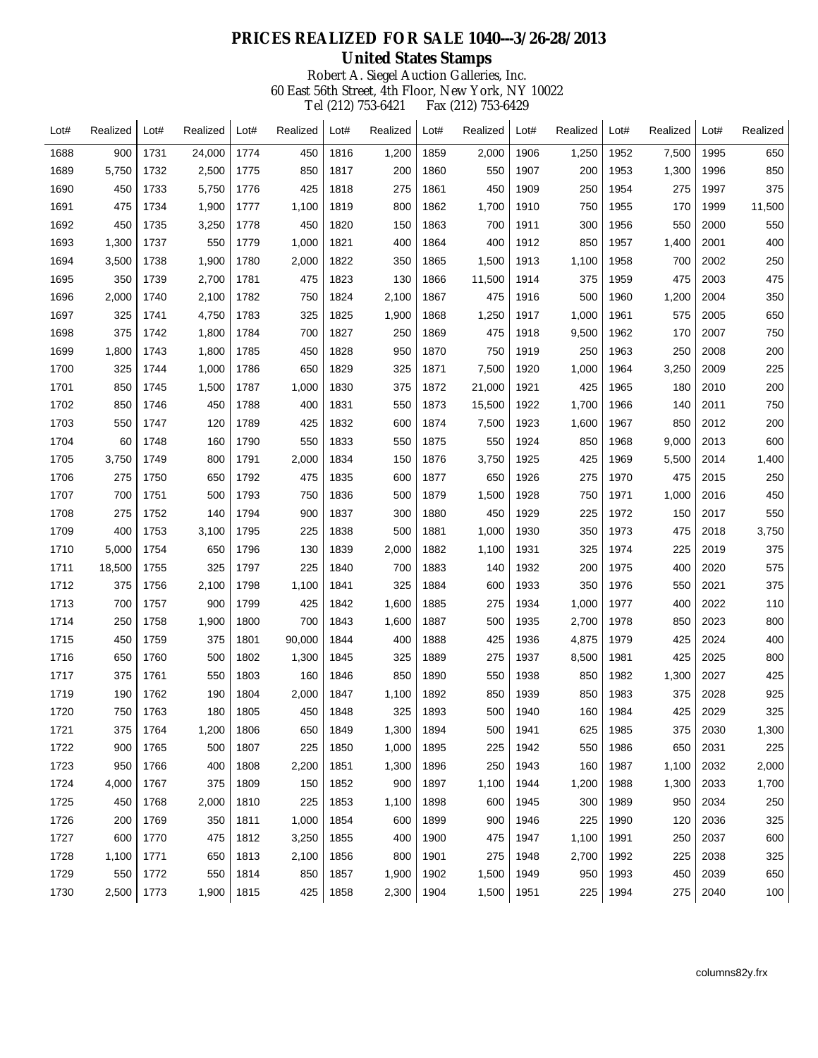| Lot# | Realized | Lot# | Realized | Lot# | Realized | Lot# | Realized | Lot# | Realized | Lot# | Realized | Lot# | Realized | Lot# | Realized |
|------|----------|------|----------|------|----------|------|----------|------|----------|------|----------|------|----------|------|----------|
| 1688 | 900      | 1731 | 24,000   | 1774 | 450      | 1816 | 1,200    | 1859 | 2,000    | 1906 | 1,250    | 1952 | 7,500    | 1995 | 650      |
| 1689 | 5,750    | 1732 | 2,500    | 1775 | 850      | 1817 | 200      | 1860 | 550      | 1907 | 200      | 1953 | 1,300    | 1996 | 850      |
| 1690 | 450      | 1733 | 5,750    | 1776 | 425      | 1818 | 275      | 1861 | 450      | 1909 | 250      | 1954 | 275      | 1997 | 375      |
| 1691 | 475      | 1734 | 1,900    | 1777 | 1,100    | 1819 | 800      | 1862 | 1,700    | 1910 | 750      | 1955 | 170      | 1999 | 11,500   |
| 1692 | 450      | 1735 | 3,250    | 1778 | 450      | 1820 | 150      | 1863 | 700      | 1911 | 300      | 1956 | 550      | 2000 | 550      |
| 1693 | 1,300    | 1737 | 550      | 1779 | 1,000    | 1821 | 400      | 1864 | 400      | 1912 | 850      | 1957 | 1,400    | 2001 | 400      |
| 1694 | 3,500    | 1738 | 1,900    | 1780 | 2,000    | 1822 | 350      | 1865 | 1,500    | 1913 | 1,100    | 1958 | 700      | 2002 | 250      |
| 1695 | 350      | 1739 | 2,700    | 1781 | 475      | 1823 | 130      | 1866 | 11,500   | 1914 | 375      | 1959 | 475      | 2003 | 475      |
| 1696 | 2,000    | 1740 | 2,100    | 1782 | 750      | 1824 | 2,100    | 1867 | 475      | 1916 | 500      | 1960 | 1,200    | 2004 | 350      |
| 1697 | 325      | 1741 | 4,750    | 1783 | 325      | 1825 | 1,900    | 1868 | 1,250    | 1917 | 1,000    | 1961 | 575      | 2005 | 650      |
| 1698 | 375      | 1742 | 1,800    | 1784 | 700      | 1827 | 250      | 1869 | 475      | 1918 | 9,500    | 1962 | 170      | 2007 | 750      |
| 1699 | 1,800    | 1743 | 1,800    | 1785 | 450      | 1828 | 950      | 1870 | 750      | 1919 | 250      | 1963 | 250      | 2008 | 200      |
| 1700 | 325      | 1744 | 1,000    | 1786 | 650      | 1829 | 325      | 1871 | 7,500    | 1920 | 1,000    | 1964 | 3,250    | 2009 | 225      |
| 1701 | 850      | 1745 | 1,500    | 1787 | 1,000    | 1830 | 375      | 1872 | 21,000   | 1921 | 425      | 1965 | 180      | 2010 | 200      |
| 1702 | 850      | 1746 | 450      | 1788 | 400      | 1831 | 550      | 1873 | 15,500   | 1922 | 1,700    | 1966 | 140      | 2011 | 750      |
| 1703 | 550      | 1747 | 120      | 1789 | 425      | 1832 | 600      | 1874 | 7,500    | 1923 | 1,600    | 1967 | 850      | 2012 | 200      |
| 1704 | 60       | 1748 | 160      | 1790 | 550      | 1833 | 550      | 1875 | 550      | 1924 | 850      | 1968 | 9,000    | 2013 | 600      |
| 1705 | 3,750    | 1749 | 800      | 1791 | 2,000    | 1834 | 150      | 1876 | 3,750    | 1925 | 425      | 1969 | 5,500    | 2014 | 1,400    |
| 1706 | 275      | 1750 | 650      | 1792 | 475      | 1835 | 600      | 1877 | 650      | 1926 | 275      | 1970 | 475      | 2015 | 250      |
| 1707 | 700      | 1751 | 500      | 1793 | 750      | 1836 | 500      | 1879 | 1,500    | 1928 | 750      | 1971 | 1,000    | 2016 | 450      |
| 1708 | 275      | 1752 | 140      | 1794 | 900      | 1837 | 300      | 1880 | 450      | 1929 | 225      | 1972 | 150      | 2017 | 550      |
| 1709 | 400      | 1753 | 3,100    | 1795 | 225      | 1838 | 500      | 1881 | 1,000    | 1930 | 350      | 1973 | 475      | 2018 | 3,750    |
| 1710 | 5,000    | 1754 | 650      | 1796 | 130      | 1839 | 2,000    | 1882 | 1,100    | 1931 | 325      | 1974 | 225      | 2019 | 375      |
| 1711 | 18,500   | 1755 | 325      | 1797 | 225      | 1840 | 700      | 1883 | 140      | 1932 | 200      | 1975 | 400      | 2020 | 575      |
| 1712 | 375      | 1756 | 2,100    | 1798 | 1,100    | 1841 | 325      | 1884 | 600      | 1933 | 350      | 1976 | 550      | 2021 | 375      |
| 1713 | 700      | 1757 | 900      | 1799 | 425      | 1842 | 1,600    | 1885 | 275      | 1934 | 1,000    | 1977 | 400      | 2022 | 110      |
| 1714 | 250      | 1758 | 1,900    | 1800 | 700      | 1843 | 1,600    | 1887 | 500      | 1935 | 2,700    | 1978 | 850      | 2023 | 800      |
| 1715 | 450      | 1759 | 375      | 1801 | 90,000   | 1844 | 400      | 1888 | 425      | 1936 | 4,875    | 1979 | 425      | 2024 | 400      |
| 1716 | 650      | 1760 | 500      | 1802 | 1,300    | 1845 | 325      | 1889 | 275      | 1937 | 8,500    | 1981 | 425      | 2025 | 800      |
| 1717 | 375      | 1761 | 550      | 1803 | 160      | 1846 | 850      | 1890 | 550      | 1938 | 850      | 1982 | 1,300    | 2027 | 425      |
| 1719 | 190      | 1762 | 190      | 1804 | 2,000    | 1847 | 1,100    | 1892 | 850      | 1939 | 850      | 1983 | 375      | 2028 | 925      |
| 1720 | 750      | 1763 | 180      | 1805 | 450      | 1848 | 325      | 1893 | 500      | 1940 | 160      | 1984 | 425      | 2029 | 325      |
| 1721 | 375      | 1764 | 1,200    | 1806 | 650      | 1849 | 1,300    | 1894 | 500      | 1941 | 625      | 1985 | 375      | 2030 | 1,300    |
| 1722 | 900      | 1765 | 500      | 1807 | 225      | 1850 | 1,000    | 1895 | 225      | 1942 | 550      | 1986 | 650      | 2031 | 225      |
| 1723 | 950      | 1766 | 400      | 1808 | 2,200    | 1851 | 1,300    | 1896 | 250      | 1943 | 160      | 1987 | 1,100    | 2032 | 2,000    |
| 1724 | 4,000    | 1767 | 375      | 1809 | 150      | 1852 | 900      | 1897 | 1,100    | 1944 | 1,200    | 1988 | 1,300    | 2033 | 1,700    |
| 1725 | 450      | 1768 | 2,000    | 1810 | 225      | 1853 | 1,100    | 1898 | 600      | 1945 | 300      | 1989 | 950      | 2034 | 250      |
| 1726 | 200      | 1769 | 350      | 1811 | 1,000    | 1854 | 600      | 1899 | 900      | 1946 | 225      | 1990 | 120      | 2036 | 325      |
| 1727 | 600      | 1770 | 475      | 1812 | 3,250    | 1855 | 400      | 1900 | 475      | 1947 | 1,100    | 1991 | 250      | 2037 | 600      |
| 1728 | 1,100    | 1771 | 650      | 1813 | 2,100    | 1856 | 800      | 1901 | 275      | 1948 | 2,700    | 1992 | 225      | 2038 | 325      |
| 1729 | 550      | 1772 | 550      | 1814 | 850      | 1857 | 1,900    | 1902 | 1,500    | 1949 | 950      | 1993 | 450      | 2039 | 650      |
| 1730 | 2,500    | 1773 | 1,900    | 1815 | 425      | 1858 | 2,300    | 1904 | 1,500    | 1951 | 225      | 1994 | 275      | 2040 | 100      |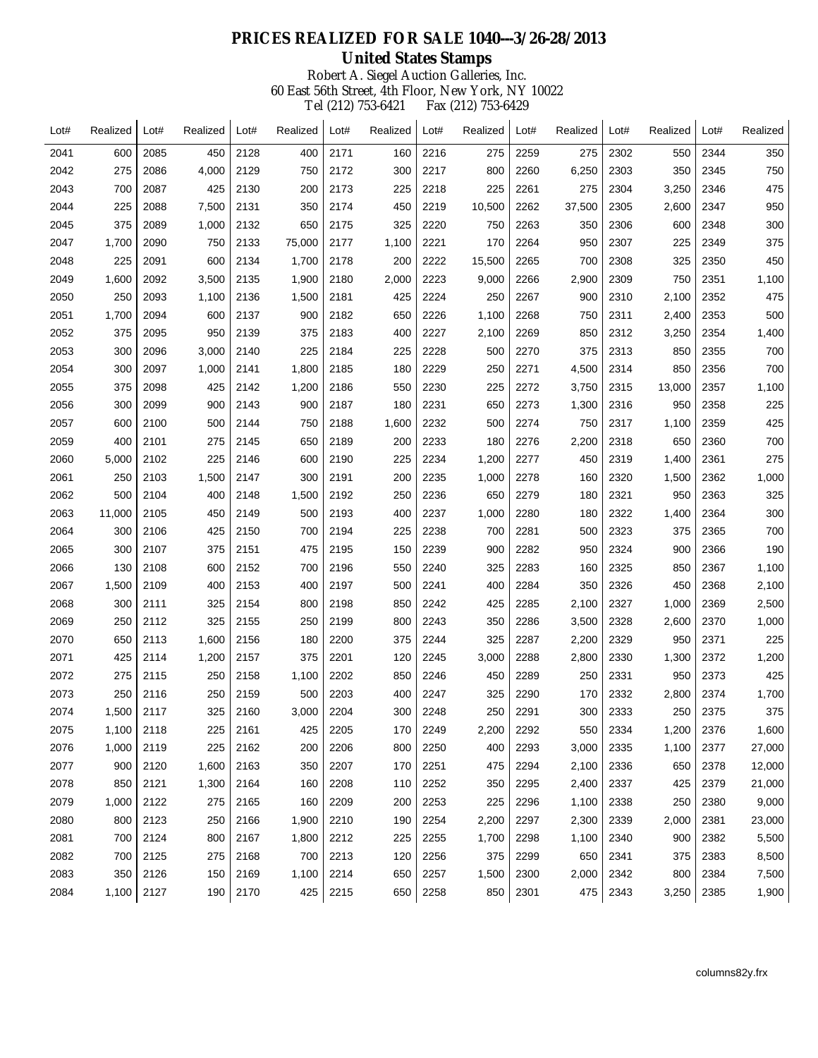| Lot# | Realized | Lot# | Realized | Lot# | Realized | Lot# | Realized | Lot# | Realized | Lot# | Realized | Lot# | Realized | Lot# | Realized |
|------|----------|------|----------|------|----------|------|----------|------|----------|------|----------|------|----------|------|----------|
| 2041 | 600      | 2085 | 450      | 2128 | 400      | 2171 | 160      | 2216 | 275      | 2259 | 275      | 2302 | 550      | 2344 | 350      |
| 2042 | 275      | 2086 | 4,000    | 2129 | 750      | 2172 | 300      | 2217 | 800      | 2260 | 6,250    | 2303 | 350      | 2345 | 750      |
| 2043 | 700      | 2087 | 425      | 2130 | 200      | 2173 | 225      | 2218 | 225      | 2261 | 275      | 2304 | 3,250    | 2346 | 475      |
| 2044 | 225      | 2088 | 7,500    | 2131 | 350      | 2174 | 450      | 2219 | 10,500   | 2262 | 37,500   | 2305 | 2,600    | 2347 | 950      |
| 2045 | 375      | 2089 | 1,000    | 2132 | 650      | 2175 | 325      | 2220 | 750      | 2263 | 350      | 2306 | 600      | 2348 | 300      |
| 2047 | 1,700    | 2090 | 750      | 2133 | 75,000   | 2177 | 1,100    | 2221 | 170      | 2264 | 950      | 2307 | 225      | 2349 | 375      |
| 2048 | 225      | 2091 | 600      | 2134 | 1,700    | 2178 | 200      | 2222 | 15,500   | 2265 | 700      | 2308 | 325      | 2350 | 450      |
| 2049 | 1,600    | 2092 | 3,500    | 2135 | 1,900    | 2180 | 2,000    | 2223 | 9,000    | 2266 | 2,900    | 2309 | 750      | 2351 | 1,100    |
| 2050 | 250      | 2093 | 1,100    | 2136 | 1,500    | 2181 | 425      | 2224 | 250      | 2267 | 900      | 2310 | 2,100    | 2352 | 475      |
| 2051 | 1,700    | 2094 | 600      | 2137 | 900      | 2182 | 650      | 2226 | 1,100    | 2268 | 750      | 2311 | 2,400    | 2353 | 500      |
| 2052 | 375      | 2095 | 950      | 2139 | 375      | 2183 | 400      | 2227 | 2,100    | 2269 | 850      | 2312 | 3,250    | 2354 | 1,400    |
| 2053 | 300      | 2096 | 3,000    | 2140 | 225      | 2184 | 225      | 2228 | 500      | 2270 | 375      | 2313 | 850      | 2355 | 700      |
| 2054 | 300      | 2097 | 1,000    | 2141 | 1,800    | 2185 | 180      | 2229 | 250      | 2271 | 4,500    | 2314 | 850      | 2356 | 700      |
| 2055 | 375      | 2098 | 425      | 2142 | 1,200    | 2186 | 550      | 2230 | 225      | 2272 | 3,750    | 2315 | 13,000   | 2357 | 1,100    |
| 2056 | 300      | 2099 | 900      | 2143 | 900      | 2187 | 180      | 2231 | 650      | 2273 | 1,300    | 2316 | 950      | 2358 | 225      |
| 2057 | 600      | 2100 | 500      | 2144 | 750      | 2188 | 1,600    | 2232 | 500      | 2274 | 750      | 2317 | 1,100    | 2359 | 425      |
| 2059 | 400      | 2101 | 275      | 2145 | 650      | 2189 | 200      | 2233 | 180      | 2276 | 2,200    | 2318 | 650      | 2360 | 700      |
| 2060 | 5,000    | 2102 | 225      | 2146 | 600      | 2190 | 225      | 2234 | 1,200    | 2277 | 450      | 2319 | 1,400    | 2361 | 275      |
| 2061 | 250      | 2103 | 1,500    | 2147 | 300      | 2191 | 200      | 2235 | 1,000    | 2278 | 160      | 2320 | 1,500    | 2362 | 1,000    |
| 2062 | 500      | 2104 | 400      | 2148 | 1,500    | 2192 | 250      | 2236 | 650      | 2279 | 180      | 2321 | 950      | 2363 | 325      |
| 2063 | 11,000   | 2105 | 450      | 2149 | 500      | 2193 | 400      | 2237 | 1,000    | 2280 | 180      | 2322 | 1,400    | 2364 | 300      |
| 2064 | 300      | 2106 | 425      | 2150 | 700      | 2194 | 225      | 2238 | 700      | 2281 | 500      | 2323 | 375      | 2365 | 700      |
| 2065 | 300      | 2107 | 375      | 2151 | 475      | 2195 | 150      | 2239 | 900      | 2282 | 950      | 2324 | 900      | 2366 | 190      |
| 2066 | 130      | 2108 | 600      | 2152 | 700      | 2196 | 550      | 2240 | 325      | 2283 | 160      | 2325 | 850      | 2367 | 1,100    |
| 2067 | 1,500    | 2109 | 400      | 2153 | 400      | 2197 | 500      | 2241 | 400      | 2284 | 350      | 2326 | 450      | 2368 | 2,100    |
| 2068 | 300      | 2111 | 325      | 2154 | 800      | 2198 | 850      | 2242 | 425      | 2285 | 2,100    | 2327 | 1,000    | 2369 | 2,500    |
| 2069 | 250      | 2112 | 325      | 2155 | 250      | 2199 | 800      | 2243 | 350      | 2286 | 3,500    | 2328 | 2,600    | 2370 | 1,000    |
| 2070 | 650      | 2113 | 1,600    | 2156 | 180      | 2200 | 375      | 2244 | 325      | 2287 | 2,200    | 2329 | 950      | 2371 | 225      |
| 2071 | 425      | 2114 | 1,200    | 2157 | 375      | 2201 | 120      | 2245 | 3,000    | 2288 | 2,800    | 2330 | 1,300    | 2372 | 1,200    |
| 2072 | 275      | 2115 | 250      | 2158 | 1,100    | 2202 | 850      | 2246 | 450      | 2289 | 250      | 2331 | 950      | 2373 | 425      |
| 2073 | 250      | 2116 | 250      | 2159 | 500      | 2203 | 400      | 2247 | 325      | 2290 | 170      | 2332 | 2,800    | 2374 | 1,700    |
| 2074 | 1,500    | 2117 | 325      | 2160 | 3,000    | 2204 | 300      | 2248 | 250      | 2291 | 300      | 2333 | 250      | 2375 | 375      |
| 2075 | 1,100    | 2118 | 225      | 2161 | 425      | 2205 | 170      | 2249 | 2,200    | 2292 | 550      | 2334 | 1,200    | 2376 | 1,600    |
| 2076 | 1,000    | 2119 | 225      | 2162 | 200      | 2206 | 800      | 2250 | 400      | 2293 | 3,000    | 2335 | 1,100    | 2377 | 27,000   |
| 2077 | 900      | 2120 | 1,600    | 2163 | 350      | 2207 | 170      | 2251 | 475      | 2294 | 2,100    | 2336 | 650      | 2378 | 12,000   |
| 2078 | 850      | 2121 | 1,300    | 2164 | 160      | 2208 | 110      | 2252 | 350      | 2295 | 2,400    | 2337 | 425      | 2379 | 21,000   |
| 2079 | 1,000    | 2122 | 275      | 2165 | 160      | 2209 | 200      | 2253 | 225      | 2296 | 1,100    | 2338 | 250      | 2380 | 9,000    |
| 2080 | 800      | 2123 | 250      | 2166 | 1,900    | 2210 | 190      | 2254 | 2,200    | 2297 | 2,300    | 2339 | 2,000    | 2381 | 23,000   |
| 2081 | 700      | 2124 | 800      | 2167 | 1,800    | 2212 | 225      | 2255 | 1,700    | 2298 | 1,100    | 2340 | 900      | 2382 | 5,500    |
| 2082 | 700      | 2125 | 275      | 2168 | 700      | 2213 | 120      | 2256 | 375      | 2299 | 650      | 2341 | 375      | 2383 | 8,500    |
| 2083 | 350      | 2126 | 150      | 2169 | 1,100    | 2214 | 650      | 2257 | 1,500    | 2300 | 2,000    | 2342 | 800      | 2384 | 7,500    |
| 2084 | 1,100    | 2127 | 190      | 2170 | 425      | 2215 | 650      | 2258 | 850      | 2301 | 475      | 2343 | 3,250    | 2385 | 1,900    |